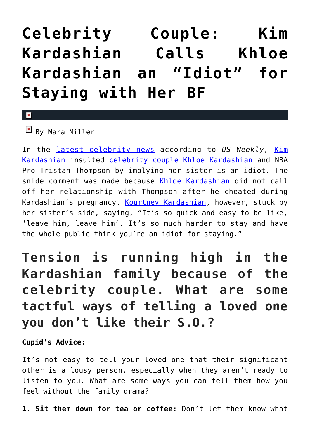## **[Celebrity Couple: Kim](https://cupidspulse.com/128209/celebrity-couple-kim-called-khloe-idiot/) [Kardashian Calls Khloe](https://cupidspulse.com/128209/celebrity-couple-kim-called-khloe-idiot/) [Kardashian an "Idiot" for](https://cupidspulse.com/128209/celebrity-couple-kim-called-khloe-idiot/) [Staying with Her BF](https://cupidspulse.com/128209/celebrity-couple-kim-called-khloe-idiot/)**

 $\mathbf{\overline{x}}$ 

 $\mathbb{E}$  By Mara Miller

In the [latest celebrity news](http://cupidspulse.com/celebrity-news/) according to *US Weekly,* [Kim](http://cupidspulse.com/86077/kim-kardashian/) [Kardashian](http://cupidspulse.com/86077/kim-kardashian/) insulted [celebrity couple](http://cupidspulse.com/celebrity-news/celebrity-dating/) [Khloe Kardashian](http://cupidspulse.com/87702/khloe-kardashian/) and NBA Pro Tristan Thompson by implying her sister is an idiot. The snide comment was made because [Khloe Kardashian](http://cupidspulse.com/87702/khloe-kardashian/) did not call off her relationship with Thompson after he cheated during Kardashian's pregnancy. [Kourtney Kardashian](http://cupidspulse.com/89555/kourtney-kardashian/), however, stuck by her sister's side, saying, "It's so quick and easy to be like, 'leave him, leave him'. It's so much harder to stay and have the whole public think you're an idiot for staying."

## **Tension is running high in the Kardashian family because of the celebrity couple. What are some tactful ways of telling a loved one you don't like their S.O.?**

**Cupid's Advice:**

It's not easy to tell your loved one that their significant other is a lousy person, especially when they aren't ready to listen to you. What are some ways you can tell them how you feel without the family drama?

**1. Sit them down for tea or coffee:** Don't let them know what